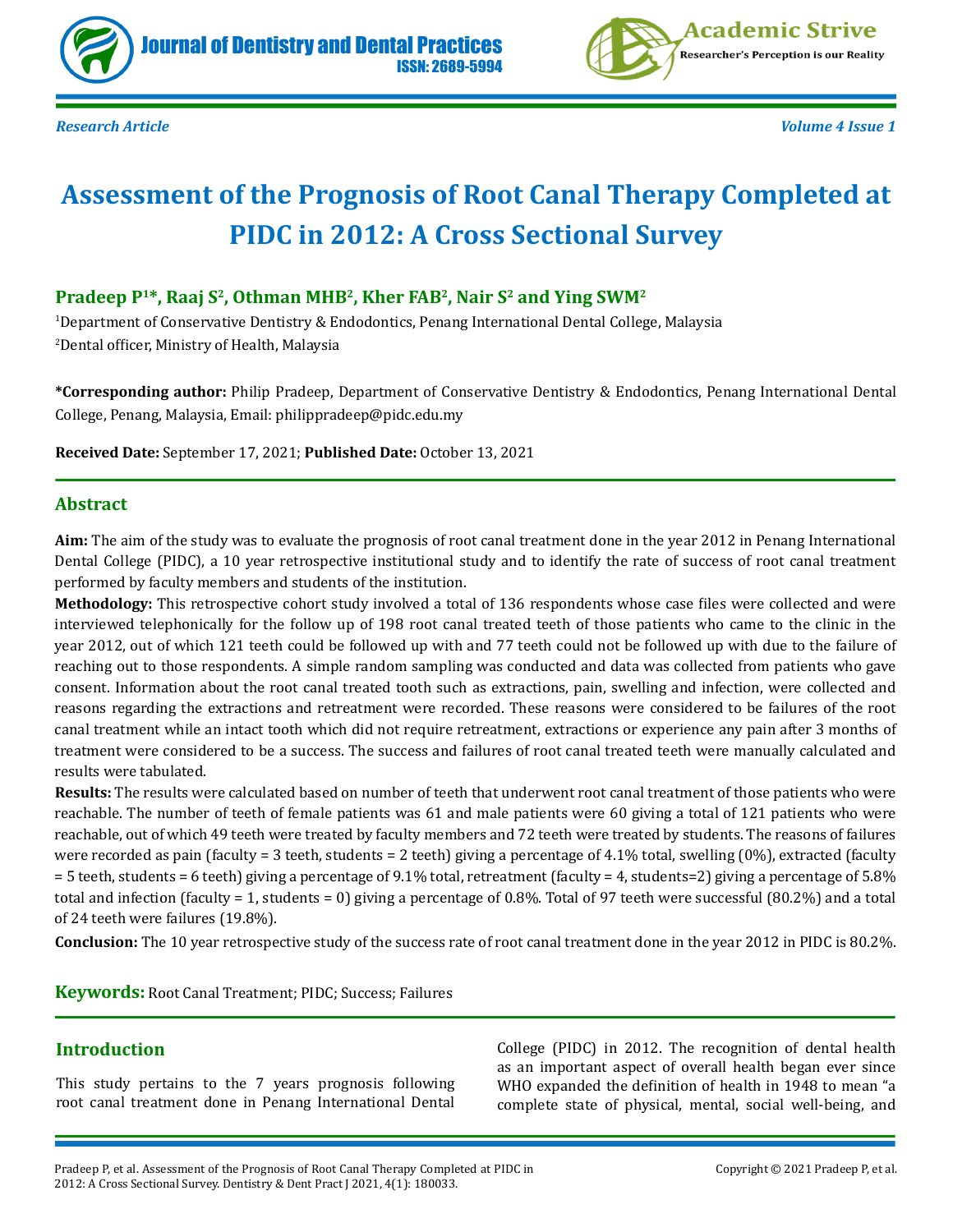



*Research Article Volume 4 Issue 1*

# **Assessment of the Prognosis of Root Canal Therapy Completed at PIDC in 2012: A Cross Sectional Survey**

### **Pradeep P<sup>1\*</sup>, Raaj S<sup>2</sup>, Othman MHB<sup>2</sup>, Kher FAB<sup>2</sup>, Nair S<sup>2</sup> and Ying SWM<sup>2</sup>**

1 Department of Conservative Dentistry & Endodontics, Penang International Dental College, Malaysia 2 Dental officer, Ministry of Health, Malaysia

**\*Corresponding author:** Philip Pradeep, Department of Conservative Dentistry & Endodontics, Penang International Dental College, Penang, Malaysia, Email: philippradeep@pidc.edu.my

**Received Date:** September 17, 2021; **Published Date:** October 13, 2021

### **Abstract**

**Aim:** The aim of the study was to evaluate the prognosis of root canal treatment done in the year 2012 in Penang International Dental College (PIDC), a 10 year retrospective institutional study and to identify the rate of success of root canal treatment performed by faculty members and students of the institution.

**Methodology:** This retrospective cohort study involved a total of 136 respondents whose case files were collected and were interviewed telephonically for the follow up of 198 root canal treated teeth of those patients who came to the clinic in the year 2012, out of which 121 teeth could be followed up with and 77 teeth could not be followed up with due to the failure of reaching out to those respondents. A simple random sampling was conducted and data was collected from patients who gave consent. Information about the root canal treated tooth such as extractions, pain, swelling and infection, were collected and reasons regarding the extractions and retreatment were recorded. These reasons were considered to be failures of the root canal treatment while an intact tooth which did not require retreatment, extractions or experience any pain after 3 months of treatment were considered to be a success. The success and failures of root canal treated teeth were manually calculated and results were tabulated.

**Results:** The results were calculated based on number of teeth that underwent root canal treatment of those patients who were reachable. The number of teeth of female patients was 61 and male patients were 60 giving a total of 121 patients who were reachable, out of which 49 teeth were treated by faculty members and 72 teeth were treated by students. The reasons of failures were recorded as pain (faculty = 3 teeth, students = 2 teeth) giving a percentage of 4.1% total, swelling (0%), extracted (faculty = 5 teeth, students = 6 teeth) giving a percentage of 9.1% total, retreatment (faculty = 4, students=2) giving a percentage of 5.8% total and infection (faculty = 1, students = 0) giving a percentage of 0.8%. Total of 97 teeth were successful (80.2%) and a total of 24 teeth were failures (19.8%).

**Conclusion:** The 10 year retrospective study of the success rate of root canal treatment done in the year 2012 in PIDC is 80.2%.

**Keywords:** Root Canal Treatment; PIDC; Success; Failures

### **Introduction**

This study pertains to the 7 years prognosis following root canal treatment done in Penang International Dental

College (PIDC) in 2012. The recognition of dental health as an important aspect of overall health began ever since WHO expanded the definition of health in 1948 to mean "a complete state of physical, mental, social well-being, and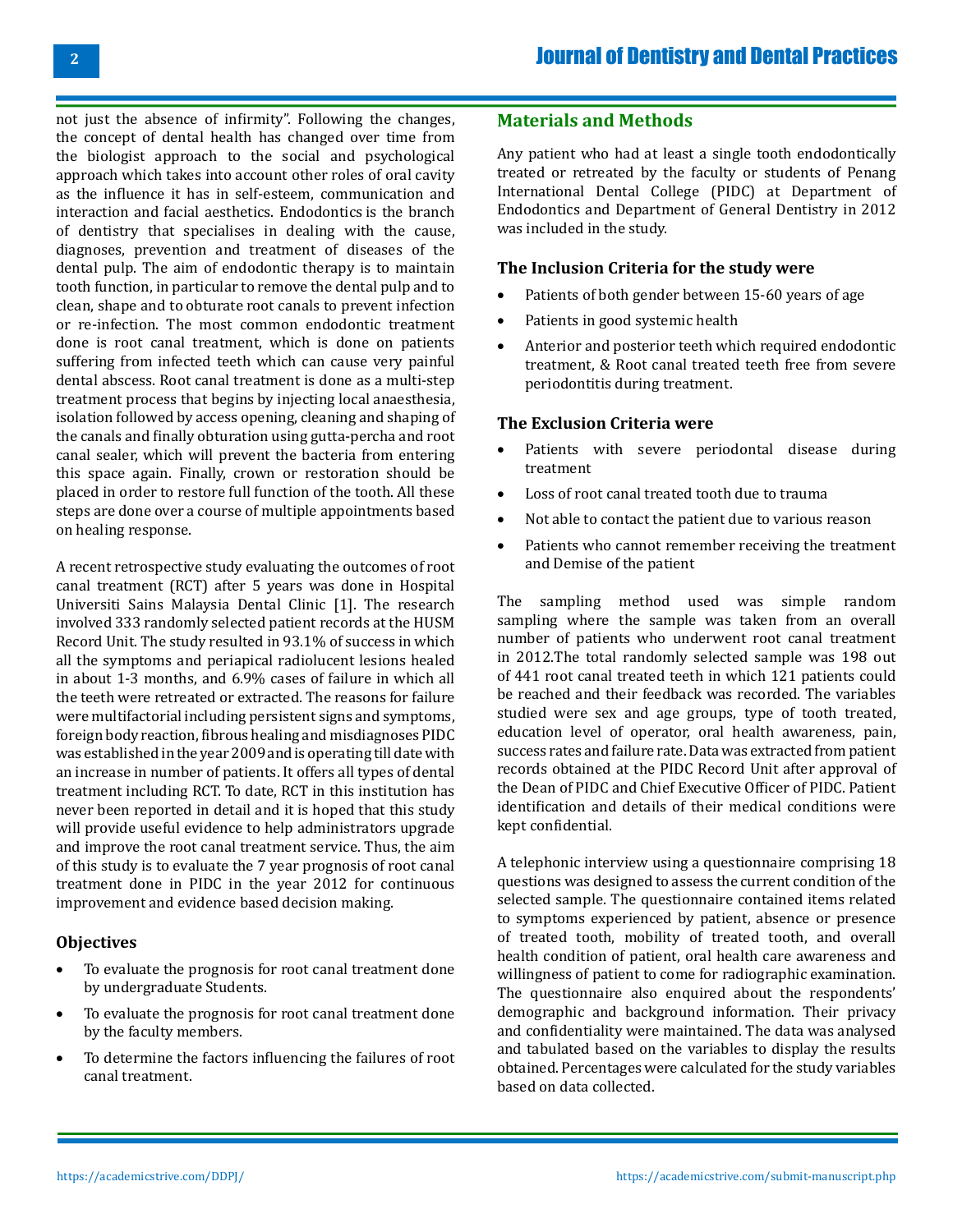not just the absence of infirmity". Following the changes, the concept of dental health has changed over time from the biologist approach to the social and psychological approach which takes into account other roles of oral cavity as the influence it has in self-esteem, communication and interaction and facial aesthetics. Endodontics is the branch of dentistry that specialises in dealing with the cause, diagnoses, prevention and treatment of diseases of the dental pulp. The aim of endodontic therapy is to maintain tooth function, in particular to remove the dental pulp and to clean, shape and to obturate root canals to prevent infection or re-infection. The most common endodontic treatment done is root canal treatment, which is done on patients suffering from infected teeth which can cause very painful dental abscess. Root canal treatment is done as a multi-step treatment process that begins by injecting local anaesthesia, isolation followed by access opening, cleaning and shaping of the canals and finally obturation using gutta-percha and root canal sealer, which will prevent the bacteria from entering this space again. Finally, crown or restoration should be placed in order to restore full function of the tooth. All these steps are done over a course of multiple appointments based on healing response.

A recent retrospective study evaluating the outcomes of root canal treatment (RCT) after 5 years was done in Hospital Universiti Sains Malaysia Dental Clinic [1]. The research involved 333 randomly selected patient records at the HUSM Record Unit. The study resulted in 93.1% of success in which all the symptoms and periapical radiolucent lesions healed in about 1-3 months, and 6.9% cases of failure in which all the teeth were retreated or extracted. The reasons for failure were multifactorial including persistent signs and symptoms, foreign body reaction, fibrous healing and misdiagnoses PIDC was established in the year 2009 and is operating till date with an increase in number of patients. It offers all types of dental treatment including RCT. To date, RCT in this institution has never been reported in detail and it is hoped that this study will provide useful evidence to help administrators upgrade and improve the root canal treatment service. Thus, the aim of this study is to evaluate the 7 year prognosis of root canal treatment done in PIDC in the year 2012 for continuous improvement and evidence based decision making.

### **Objectives**

- To evaluate the prognosis for root canal treatment done by undergraduate Students.
- To evaluate the prognosis for root canal treatment done by the faculty members.
- • To determine the factors influencing the failures of root canal treatment.

### **Materials and Methods**

Any patient who had at least a single tooth endodontically treated or retreated by the faculty or students of Penang International Dental College (PIDC) at Department of Endodontics and Department of General Dentistry in 2012 was included in the study.

#### **The Inclusion Criteria for the study were**

- Patients of both gender between 15-60 years of age
- Patients in good systemic health
- Anterior and posterior teeth which required endodontic treatment, & Root canal treated teeth free from severe periodontitis during treatment.

### **The Exclusion Criteria were**

- Patients with severe periodontal disease during treatment
- Loss of root canal treated tooth due to trauma
- Not able to contact the patient due to various reason
- Patients who cannot remember receiving the treatment and Demise of the patient

The sampling method used was simple random sampling where the sample was taken from an overall number of patients who underwent root canal treatment in 2012.The total randomly selected sample was 198 out of 441 root canal treated teeth in which 121 patients could be reached and their feedback was recorded. The variables studied were sex and age groups, type of tooth treated, education level of operator, oral health awareness, pain, success rates and failure rate. Data was extracted from patient records obtained at the PIDC Record Unit after approval of the Dean of PIDC and Chief Executive Officer of PIDC. Patient identification and details of their medical conditions were kept confidential.

A telephonic interview using a questionnaire comprising 18 questions was designed to assess the current condition of the selected sample. The questionnaire contained items related to symptoms experienced by patient, absence or presence of treated tooth, mobility of treated tooth, and overall health condition of patient, oral health care awareness and willingness of patient to come for radiographic examination. The questionnaire also enquired about the respondents' demographic and background information. Their privacy and confidentiality were maintained. The data was analysed and tabulated based on the variables to display the results obtained. Percentages were calculated for the study variables based on data collected.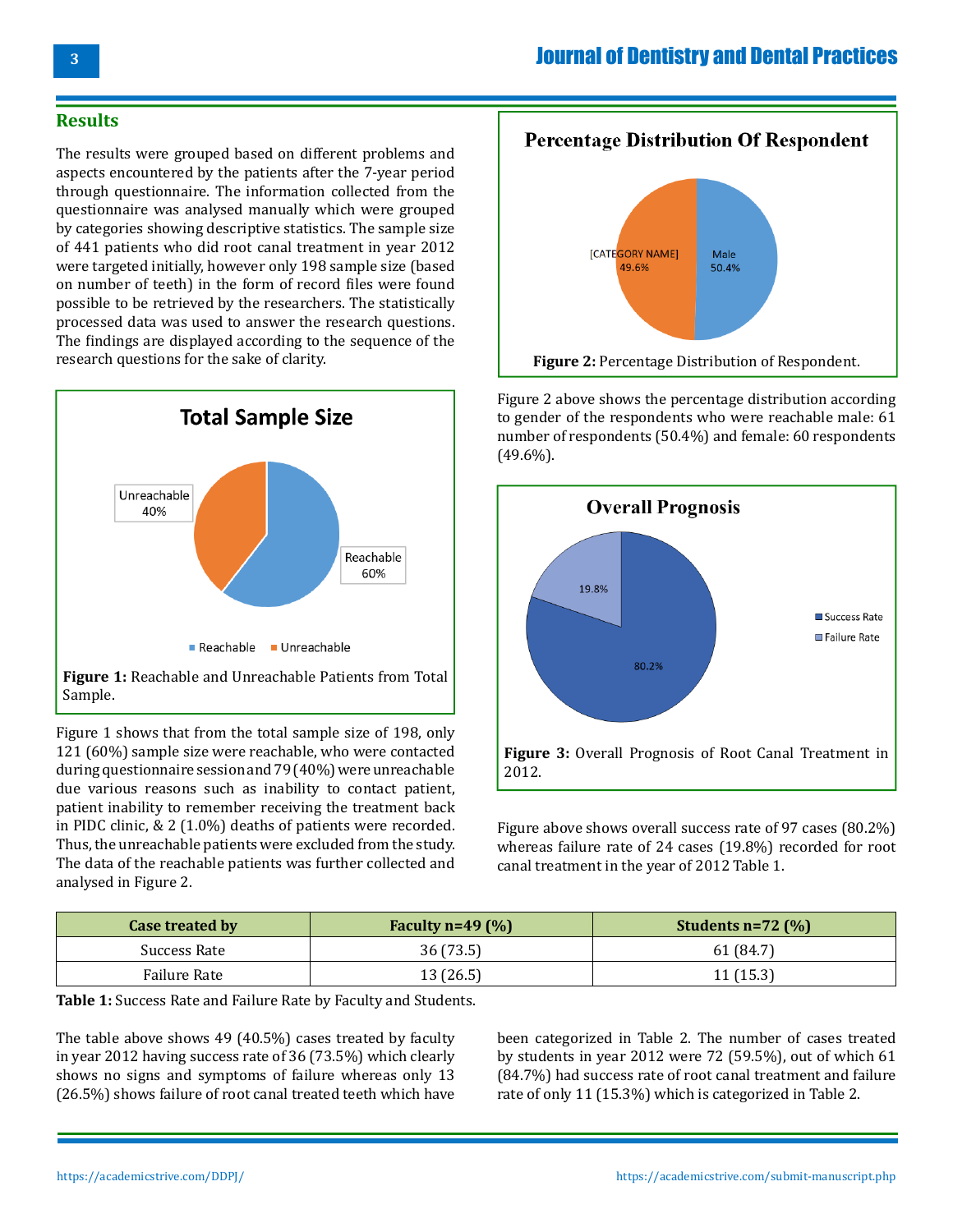### **Results**

The results were grouped based on different problems and aspects encountered by the patients after the 7-year period through questionnaire. The information collected from the questionnaire was analysed manually which were grouped by categories showing descriptive statistics. The sample size of 441 patients who did root canal treatment in year 2012 were targeted initially, however only 198 sample size (based on number of teeth) in the form of record files were found possible to be retrieved by the researchers. The statistically processed data was used to answer the research questions. The findings are displayed according to the sequence of the research questions for the sake of clarity.



**Figure 1:** Reachable and Unreachable Patients from Total Sample.

Figure 1 shows that from the total sample size of 198, only 121 (60%) sample size were reachable, who were contacted during questionnaire session and 79 (40%) were unreachable due various reasons such as inability to contact patient, patient inability to remember receiving the treatment back in PIDC clinic, & 2 (1.0%) deaths of patients were recorded. Thus, the unreachable patients were excluded from the study. The data of the reachable patients was further collected and analysed in Figure 2.



Figure 2 above shows the percentage distribution according to gender of the respondents who were reachable male: 61 number of respondents (50.4%) and female: 60 respondents (49.6%).



Figure above shows overall success rate of 97 cases (80.2%) whereas failure rate of 24 cases (19.8%) recorded for root canal treatment in the year of 2012 Table 1.

| Case treated by | Faculty $n=49$ (%) | Students $n=72$ (%) |
|-----------------|--------------------|---------------------|
| Success Rate    | 36(73.5)           | 61 (84.7)           |
| Failure Rate    | 13 (26.5)          | 11(15.3)            |

**Table 1:** Success Rate and Failure Rate by Faculty and Students.

The table above shows 49 (40.5%) cases treated by faculty in year 2012 having success rate of 36 (73.5%) which clearly shows no signs and symptoms of failure whereas only 13 (26.5%) shows failure of root canal treated teeth which have

been categorized in Table 2. The number of cases treated by students in year 2012 were 72 (59.5%), out of which 61 (84.7%) had success rate of root canal treatment and failure rate of only 11 (15.3%) which is categorized in Table 2.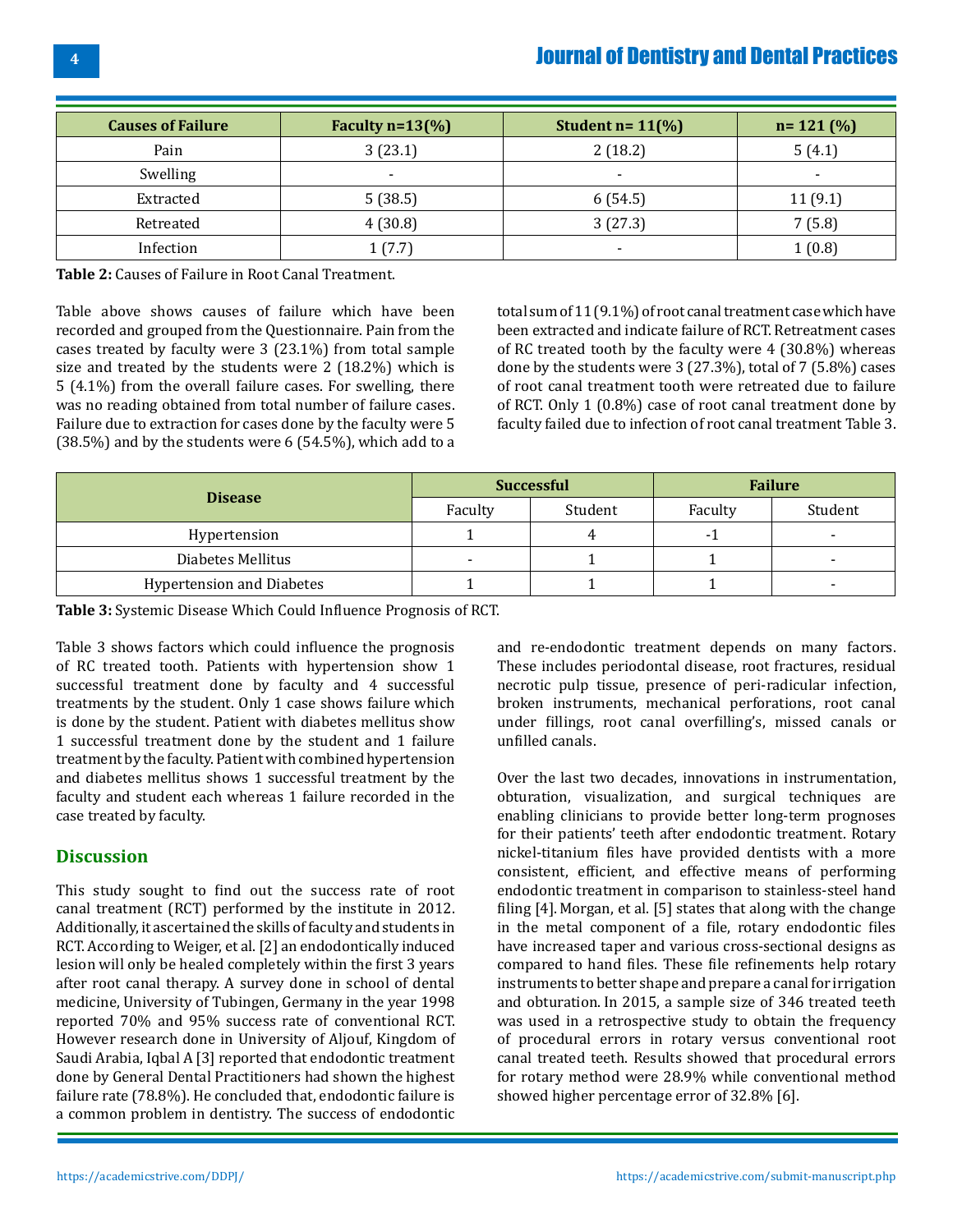| <b>Causes of Failure</b> | Faculty $n=13\frac{6}{6}$ | Student $n = 11\frac{10}{6}$ | $n = 121 (%)$            |
|--------------------------|---------------------------|------------------------------|--------------------------|
| Pain                     | 3(23.1)                   | 2(18.2)                      | 5(4.1)                   |
| Swelling                 | $\overline{\phantom{0}}$  | $\overline{\phantom{a}}$     | $\overline{\phantom{a}}$ |
| Extracted                | 5(38.5)                   | 6(54.5)                      | 11(9.1)                  |
| Retreated                | 4(30.8)                   | 3(27.3)                      | 7(5.8)                   |
| Infection                | 1(7.7)                    | -                            | 1(0.8)                   |

**Table 2:** Causes of Failure in Root Canal Treatment.

Table above shows causes of failure which have been recorded and grouped from the Questionnaire. Pain from the cases treated by faculty were 3 (23.1%) from total sample size and treated by the students were 2 (18.2%) which is 5 (4.1%) from the overall failure cases. For swelling, there was no reading obtained from total number of failure cases. Failure due to extraction for cases done by the faculty were 5 (38.5%) and by the students were 6 (54.5%), which add to a total sum of 11 (9.1%) of root canal treatment case which have been extracted and indicate failure of RCT. Retreatment cases of RC treated tooth by the faculty were 4 (30.8%) whereas done by the students were 3 (27.3%), total of 7 (5.8%) cases of root canal treatment tooth were retreated due to failure of RCT. Only 1 (0.8%) case of root canal treatment done by faculty failed due to infection of root canal treatment Table 3.

|                                  | <b>Successful</b> |         | <b>Failure</b> |         |
|----------------------------------|-------------------|---------|----------------|---------|
| <b>Disease</b>                   | Faculty           | Student | Faculty        | Student |
| Hypertension                     |                   |         | - 1            |         |
| Diabetes Mellitus                |                   |         |                |         |
| <b>Hypertension and Diabetes</b> |                   |         |                |         |

**Table 3:** Systemic Disease Which Could Influence Prognosis of RCT.

Table 3 shows factors which could influence the prognosis of RC treated tooth. Patients with hypertension show 1 successful treatment done by faculty and 4 successful treatments by the student. Only 1 case shows failure which is done by the student. Patient with diabetes mellitus show 1 successful treatment done by the student and 1 failure treatment by the faculty. Patient with combined hypertension and diabetes mellitus shows 1 successful treatment by the faculty and student each whereas 1 failure recorded in the case treated by faculty.

### **Discussion**

This study sought to find out the success rate of root canal treatment (RCT) performed by the institute in 2012. Additionally, it ascertained the skills of faculty and students in RCT. According to Weiger, et al. [2] an endodontically induced lesion will only be healed completely within the first 3 years after root canal therapy. A survey done in school of dental medicine, University of Tubingen, Germany in the year 1998 reported 70% and 95% success rate of conventional RCT. However research done in University of Aljouf, Kingdom of Saudi Arabia, Iqbal A [3] reported that endodontic treatment done by General Dental Practitioners had shown the highest failure rate (78.8%). He concluded that, endodontic failure is a common problem in dentistry. The success of endodontic and re-endodontic treatment depends on many factors. These includes periodontal disease, root fractures, residual necrotic pulp tissue, presence of peri-radicular infection, broken instruments, mechanical perforations, root canal under fillings, root canal overfilling's, missed canals or unfilled canals.

Over the last two decades, innovations in instrumentation, obturation, visualization, and surgical techniques are enabling clinicians to provide better long-term prognoses for their patients' teeth after endodontic treatment. Rotary nickel-titanium files have provided dentists with a more consistent, efficient, and effective means of performing endodontic treatment in comparison to stainless-steel hand filing [4]. Morgan, et al. [5] states that along with the change in the metal component of a file, rotary endodontic files have increased taper and various cross-sectional designs as compared to hand files. These file refinements help rotary instruments to better shape and prepare a canal for irrigation and obturation. In 2015, a sample size of 346 treated teeth was used in a retrospective study to obtain the frequency of procedural errors in rotary versus conventional root canal treated teeth. Results showed that procedural errors for rotary method were 28.9% while conventional method showed higher percentage error of 32.8% [6].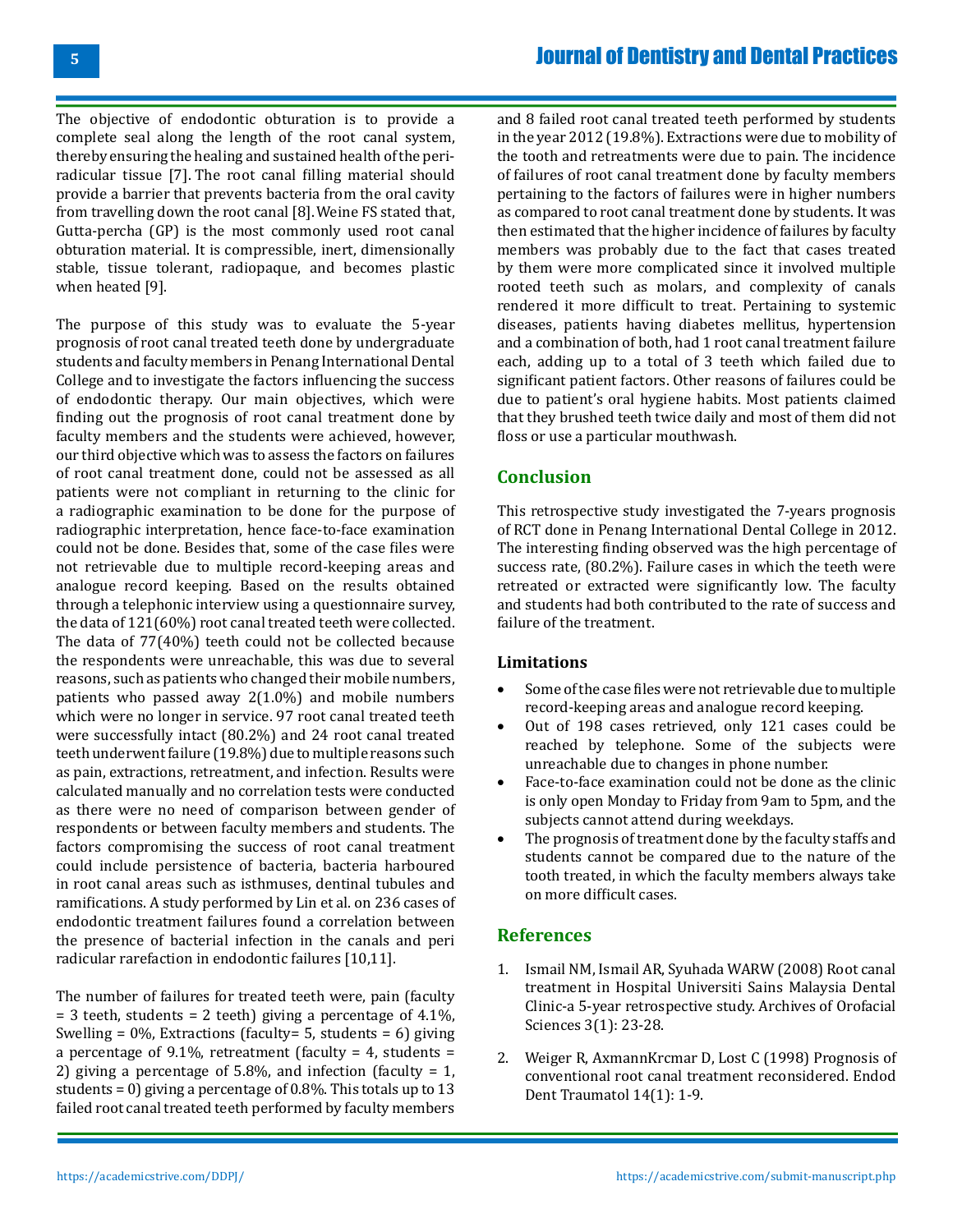The objective of endodontic obturation is to provide a complete seal along the length of the root canal system, thereby ensuring the healing and sustained health of the periradicular tissue [7]. The root canal filling material should provide a barrier that prevents bacteria from the oral cavity from travelling down the root canal [8].Weine FS stated that, Gutta-percha (GP) is the most commonly used root canal obturation material. It is compressible, inert, dimensionally stable, tissue tolerant, radiopaque, and becomes plastic when heated [9].

The purpose of this study was to evaluate the 5-year prognosis of root canal treated teeth done by undergraduate students and faculty members in Penang International Dental College and to investigate the factors influencing the success of endodontic therapy. Our main objectives, which were finding out the prognosis of root canal treatment done by faculty members and the students were achieved, however, our third objective which was to assess the factors on failures of root canal treatment done, could not be assessed as all patients were not compliant in returning to the clinic for a radiographic examination to be done for the purpose of radiographic interpretation, hence face-to-face examination could not be done. Besides that, some of the case files were not retrievable due to multiple record-keeping areas and analogue record keeping. Based on the results obtained through a telephonic interview using a questionnaire survey, the data of 121(60%) root canal treated teeth were collected. The data of 77(40%) teeth could not be collected because the respondents were unreachable, this was due to several reasons, such as patients who changed their mobile numbers, patients who passed away 2(1.0%) and mobile numbers which were no longer in service. 97 root canal treated teeth were successfully intact (80.2%) and 24 root canal treated teeth underwent failure (19.8%) due to multiple reasons such as pain, extractions, retreatment, and infection. Results were calculated manually and no correlation tests were conducted as there were no need of comparison between gender of respondents or between faculty members and students. The factors compromising the success of root canal treatment could include persistence of bacteria, bacteria harboured in root canal areas such as isthmuses, dentinal tubules and ramifications. A study performed by Lin et al. on 236 cases of endodontic treatment failures found a correlation between the presence of bacterial infection in the canals and peri radicular rarefaction in endodontic failures [10,11].

The number of failures for treated teeth were, pain (faculty  $=$  3 teeth, students  $=$  2 teeth) giving a percentage of 4.1%, Swelling =  $0\%$ , Extractions (faculty= 5, students = 6) giving a percentage of 9.1%, retreatment (faculty = 4, students = 2) giving a percentage of 5.8%, and infection (faculty = 1, students = 0) giving a percentage of 0.8%. This totals up to 13 failed root canal treated teeth performed by faculty members

and 8 failed root canal treated teeth performed by students in the year 2012 (19.8%). Extractions were due to mobility of the tooth and retreatments were due to pain. The incidence of failures of root canal treatment done by faculty members pertaining to the factors of failures were in higher numbers as compared to root canal treatment done by students. It was then estimated that the higher incidence of failures by faculty members was probably due to the fact that cases treated by them were more complicated since it involved multiple rooted teeth such as molars, and complexity of canals rendered it more difficult to treat. Pertaining to systemic diseases, patients having diabetes mellitus, hypertension and a combination of both, had 1 root canal treatment failure each, adding up to a total of 3 teeth which failed due to significant patient factors. Other reasons of failures could be due to patient's oral hygiene habits. Most patients claimed that they brushed teeth twice daily and most of them did not floss or use a particular mouthwash.

### **Conclusion**

This retrospective study investigated the 7-years prognosis of RCT done in Penang International Dental College in 2012. The interesting finding observed was the high percentage of success rate, (80.2%). Failure cases in which the teeth were retreated or extracted were significantly low. The faculty and students had both contributed to the rate of success and failure of the treatment.

### **Limitations**

- Some of the case files were not retrievable due to multiple record-keeping areas and analogue record keeping.
- Out of 198 cases retrieved, only 121 cases could be reached by telephone. Some of the subjects were unreachable due to changes in phone number.
- Face-to-face examination could not be done as the clinic is only open Monday to Friday from 9am to 5pm, and the subjects cannot attend during weekdays.
- The prognosis of treatment done by the faculty staffs and students cannot be compared due to the nature of the tooth treated, in which the faculty members always take on more difficult cases.

#### **References**

- 1. [Ismail NM, Ismail AR, Syuhada WARW \(2008\) Root canal](https://citeseerx.ist.psu.edu/viewdoc/download?doi=10.1.1.611.1122&rep=rep1&type=pdf)  [treatment in Hospital Universiti Sains Malaysia Dental](https://citeseerx.ist.psu.edu/viewdoc/download?doi=10.1.1.611.1122&rep=rep1&type=pdf)  [Clinic-a 5-year retrospective study. Archives of Orofacial](https://citeseerx.ist.psu.edu/viewdoc/download?doi=10.1.1.611.1122&rep=rep1&type=pdf)  [Sciences 3\(1\): 23-28.](https://citeseerx.ist.psu.edu/viewdoc/download?doi=10.1.1.611.1122&rep=rep1&type=pdf)
- 2. [Weiger R, AxmannKrcmar D, Lost C \(1998\) Prognosis of](https://onlinelibrary.wiley.com/doi/epdf/10.1111/j.1600-9657.1998.tb00801.x) [conventional root canal treatment reconsidered. Endod](https://onlinelibrary.wiley.com/doi/epdf/10.1111/j.1600-9657.1998.tb00801.x) [Dent Traumatol 14\(1\): 1-9.](https://onlinelibrary.wiley.com/doi/epdf/10.1111/j.1600-9657.1998.tb00801.x)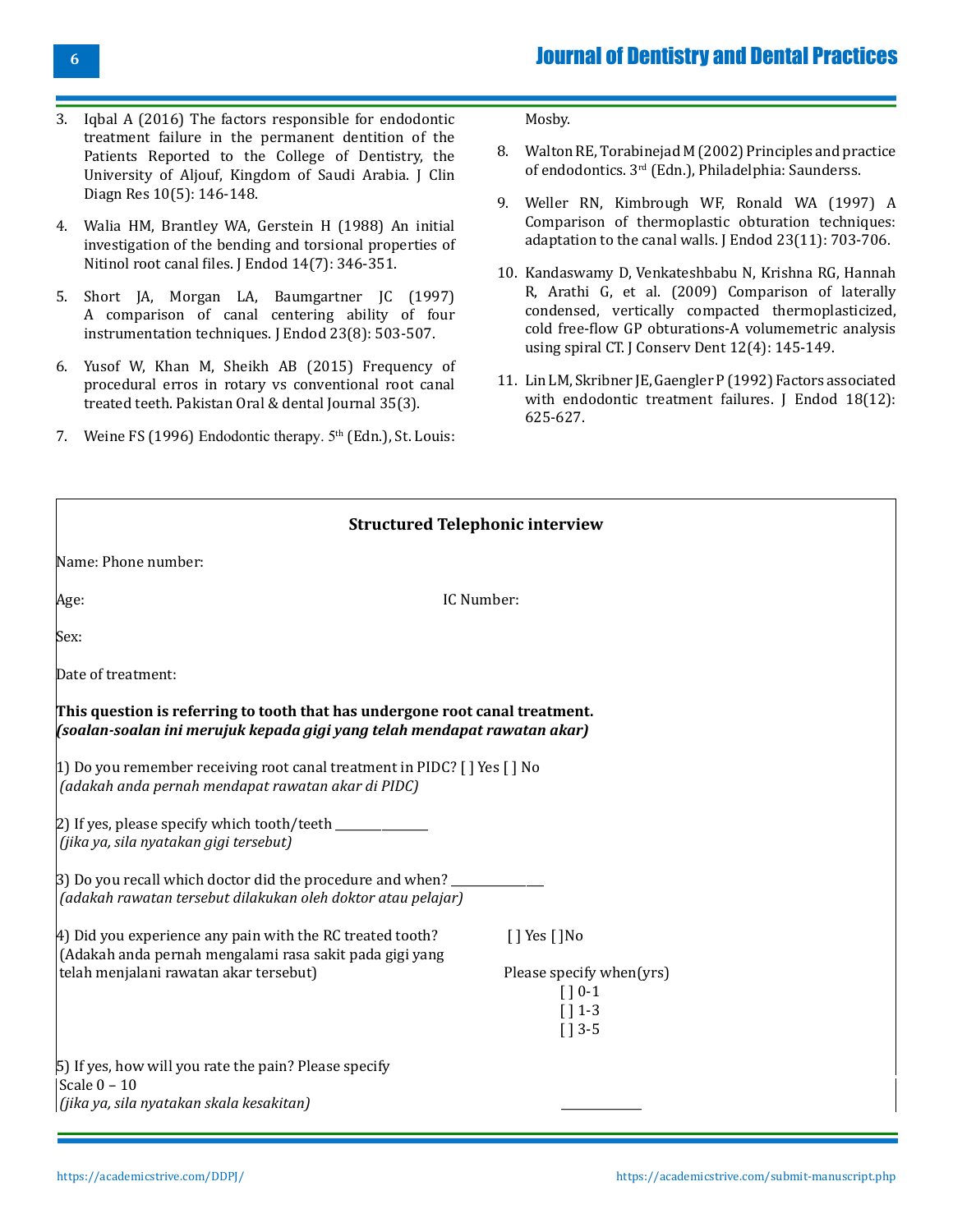- 3. [Iqbal A \(2016\) The factors responsible for endodontic](https://pubmed.ncbi.nlm.nih.gov/27437351/) [treatment failure in the permanent dentition](https://pubmed.ncbi.nlm.nih.gov/27437351/) of the [Patients Reported to the College of Dentistry, the](https://pubmed.ncbi.nlm.nih.gov/27437351/) [University of Aljouf, Kingdom of Saudi Arabia. J Clin](https://pubmed.ncbi.nlm.nih.gov/27437351/) [Diagn Res 10\(5\): 146-148.](https://pubmed.ncbi.nlm.nih.gov/27437351/)
- 4. [Walia HM, Brantley WA, Gerstein H \(1988\) An initial](https://pubmed.ncbi.nlm.nih.gov/3251996/) [investigation of the bending and torsional properties of](https://pubmed.ncbi.nlm.nih.gov/3251996/) Nitinol root canal files. [J Endod 14\(7\): 346-351.](https://pubmed.ncbi.nlm.nih.gov/3251996/)
- 5. [Short JA, Morgan LA, Baumgartner JC \(1997\)](https://pubmed.ncbi.nlm.nih.gov/9587320/) [A comparison of canal centering ability of four](https://pubmed.ncbi.nlm.nih.gov/9587320/) [instrumentation techniques.](https://pubmed.ncbi.nlm.nih.gov/9587320/) J Endod 23(8): 503-507.
- 6. Yusof W, Khan M, Sheikh AB (2015) Frequency of procedural erros in rotary vs conventional root canal treated teeth. Pakistan Oral & dental Journal 35(3).
- 7. Weine FS (1996) Endodontic therapy. 5<sup>th</sup> (Edn.), St. Louis:

Mosby.

- 8. [Walton RE, Torabinejad M \(2002\)](http://anhihs.com/up/Principles%20and%20%20practice%20of%20endodontic%202002.compressed.pdf) Principles and practice of endodontics. 3rd [\(Edn.\), Philadelphia: Saunderss.](http://anhihs.com/up/Principles%20and%20%20practice%20of%20endodontic%202002.compressed.pdf)
- 9. [Weller RN, Kimbrough WF, Ronald WA \(1997\) A](https://pubmed.ncbi.nlm.nih.gov/9587313/)  [Comparison of thermoplastic obturation techniques:](https://pubmed.ncbi.nlm.nih.gov/9587313/) [adaptation to the canal walls.](https://pubmed.ncbi.nlm.nih.gov/9587313/) J Endod 23(11): 703-706.
- 10. Kandaswamy [D, Venkateshbabu N, Krishna RG, Hannah](https://pubmed.ncbi.nlm.nih.gov/20543923/) [R, Arathi G, et al. \(2009\) Comparison of laterally](https://pubmed.ncbi.nlm.nih.gov/20543923/) [condensed, vertically compacted thermoplasticized,](https://pubmed.ncbi.nlm.nih.gov/20543923/) [cold free-flow GP obturations-A volumemetric analysis](https://pubmed.ncbi.nlm.nih.gov/20543923/) [using spiral CT. J Conserv Dent 12\(4\): 145-149.](https://pubmed.ncbi.nlm.nih.gov/20543923/)
- 11. [Lin LM, Skribner JE, Gaengler P \(1992\) Factors associated](https://pubmed.ncbi.nlm.nih.gov/1298804/) [with endodontic treatment failures. J Endod 18\(12\):](https://pubmed.ncbi.nlm.nih.gov/1298804/) [625-627.](https://pubmed.ncbi.nlm.nih.gov/1298804/)

| <b>Structured Telephonic interview</b>                                                                                                                              |                                                                |  |  |  |
|---------------------------------------------------------------------------------------------------------------------------------------------------------------------|----------------------------------------------------------------|--|--|--|
| Name: Phone number:                                                                                                                                                 |                                                                |  |  |  |
| IC Number:<br>Age:                                                                                                                                                  |                                                                |  |  |  |
| Sex:                                                                                                                                                                |                                                                |  |  |  |
| Date of treatment:                                                                                                                                                  |                                                                |  |  |  |
| This question is referring to tooth that has undergone root canal treatment.<br>[soalan-soalan ini merujuk kepada gigi yang telah mendapat rawatan akar]            |                                                                |  |  |  |
| 1) Do you remember receiving root canal treatment in PIDC? $\lceil \cdot \rceil$ Yes $\lceil \cdot \rceil$ No<br>(adakah anda pernah mendapat rawatan akar di PIDC) |                                                                |  |  |  |
| (jika ya, sila nyatakan gigi tersebut)                                                                                                                              |                                                                |  |  |  |
| [3] Do you recall which doctor did the procedure and when?<br>(adakah rawatan tersebut dilakukan oleh doktor atau pelajar)                                          |                                                                |  |  |  |
| $ 4)$ Did you experience any pain with the RC treated tooth?<br>(Adakah anda pernah mengalami rasa sakit pada gigi yang<br>telah menjalani rawatan akar tersebut)   | $\lceil$   Yes $\lceil$   No                                   |  |  |  |
|                                                                                                                                                                     | Please specify when(yrs)<br>$[$   0-1<br>$[11-3]$<br>$[$   3-5 |  |  |  |
| 5) If yes, how will you rate the pain? Please specify<br>$\vert$ Scale 0 - 10<br> (jika ya, sila nyatakan skala kesakitan)                                          |                                                                |  |  |  |